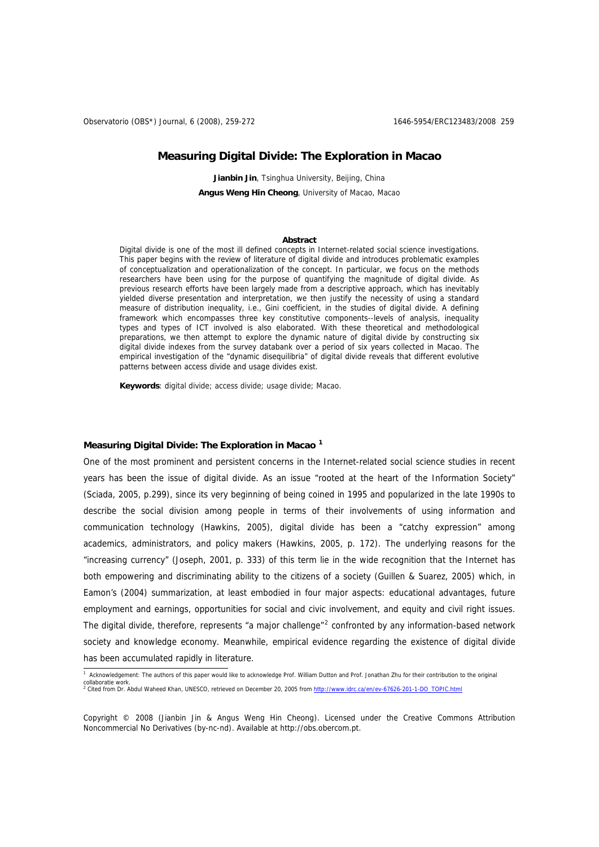# **Measuring Digital Divide: The Exploration in Macao**

Jianbin Jin, Tsinghua University, Beiling, China **Angus Weng Hin Cheong**, University of Macao, Macao

#### **Abstract**

Digital divide is one of the most ill defined concepts in Internet-related social science investigations. This paper begins with the review of literature of digital divide and introduces problematic examples of conceptualization and operationalization of the concept. In particular, we focus on the methods researchers have been using for the purpose of quantifying the magnitude of digital divide. As previous research efforts have been largely made from a descriptive approach, which has inevitably yielded diverse presentation and interpretation, we then justify the necessity of using a standard measure of distribution inequality, i.e., Gini coefficient, in the studies of digital divide. A defining framework which encompasses three key constitutive components--levels of analysis, inequality types and types of ICT involved is also elaborated. With these theoretical and methodological preparations, we then attempt to explore the dynamic nature of digital divide by constructing six digital divide indexes from the survey databank over a period of six years collected in Macao. The empirical investigation of the "dynamic disequilibria" of digital divide reveals that different evolutive patterns between access divide and usage divides exist.

**Keywords**: digital divide; access divide; usage divide; Macao.

## **Measuring Digital Divide: The Exploration in Macao [1](#page-0-0)**

One of the most prominent and persistent concerns in the Internet-related social science studies in recent years has been the issue of digital divide. As an issue "rooted at the heart of the Information Society" (Sciada, 2005, p.299), since its very beginning of being coined in 1995 and popularized in the late 1990s to describe the social division among people in terms of their involvements of using information and communication technology (Hawkins, 2005), digital divide has been a "catchy expression" among academics, administrators, and policy makers (Hawkins, 2005, p. 172). The underlying reasons for the "increasing currency" (Joseph, 2001, p. 333) of this term lie in the wide recognition that the Internet has both empowering and discriminating ability to the citizens of a society (Guillen & Suarez, 2005) which, in Eamon's (2004) summarization, at least embodied in four major aspects: educational advantages, future employment and earnings, opportunities for social and civic involvement, and equity and civil right issues. The digital divide, therefore, represents "a major challenge"<sup>[2](#page-0-1)</sup> confronted by any information-based network society and knowledge economy. Meanwhile, empirical evidence regarding the existence of digital divide has been accumulated rapidly in literature.

<span id="page-0-1"></span><span id="page-0-0"></span><sup>&</sup>lt;sup>1</sup> Acknowledgement: The authors of this paper would like to acknowledge Prof. William Dutton and Prof. Jonathan Zhu for their contribution to the original collaboratie work. <sup>2</sup> Cited from Dr. Abdul Waheed Khan, UNESCO, retrieved on December 20, 2005 from [http://www.idrc.ca/en/ev-67626-201-1-DO\\_TOPIC.html](http://www.idrc.ca/en/ev-67626-201-1-DO_TOPIC.html)

Copyright © 2008 (Jianbin Jin & Angus Weng Hin Cheong). Licensed under the Creative Commons Attribution Noncommercial No Derivatives (by-nc-nd). Available at http://obs.obercom.pt.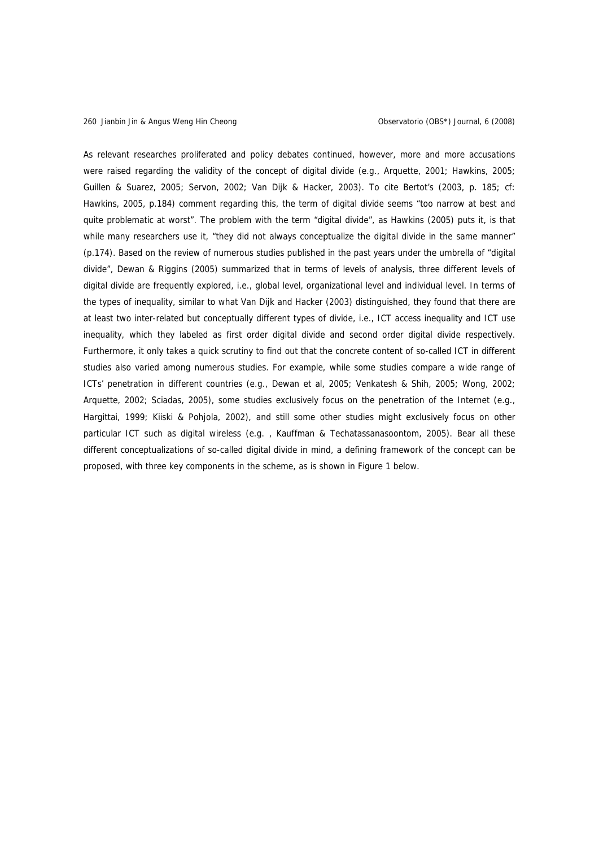As relevant researches proliferated and policy debates continued, however, more and more accusations were raised regarding the validity of the concept of digital divide (e.g., Arquette, 2001; Hawkins, 2005; Guillen & Suarez, 2005; Servon, 2002; Van Dijk & Hacker, 2003). To cite Bertot's (2003, p. 185; cf: Hawkins, 2005, p.184) comment regarding this, the term of digital divide seems "too narrow at best and quite problematic at worst". The problem with the term "digital divide", as Hawkins (2005) puts it, is that while many researchers use it, "they did not always conceptualize the digital divide in the same manner" (p.174). Based on the review of numerous studies published in the past years under the umbrella of "digital divide", Dewan & Riggins (2005) summarized that in terms of levels of analysis, three different levels of digital divide are frequently explored, i.e., global level, organizational level and individual level. In terms of the types of inequality, similar to what Van Dijk and Hacker (2003) distinguished, they found that there are at least two inter-related but conceptually different types of divide, i.e., ICT access inequality and ICT use inequality, which they labeled as first order digital divide and second order digital divide respectively. Furthermore, it only takes a quick scrutiny to find out that the concrete content of so-called ICT in different studies also varied among numerous studies. For example, while some studies compare a wide range of ICTs' penetration in different countries (e.g., Dewan et al, 2005; Venkatesh & Shih, 2005; Wong, 2002; Arquette, 2002; Sciadas, 2005), some studies exclusively focus on the penetration of the Internet (e.g., Hargittai, 1999; Kiiski & Pohjola, 2002), and still some other studies might exclusively focus on other particular ICT such as digital wireless (e.g. , Kauffman & Techatassanasoontom, 2005). Bear all these different conceptualizations of so-called digital divide in mind, a defining framework of the concept can be proposed, with three key components in the scheme, as is shown in Figure 1 below.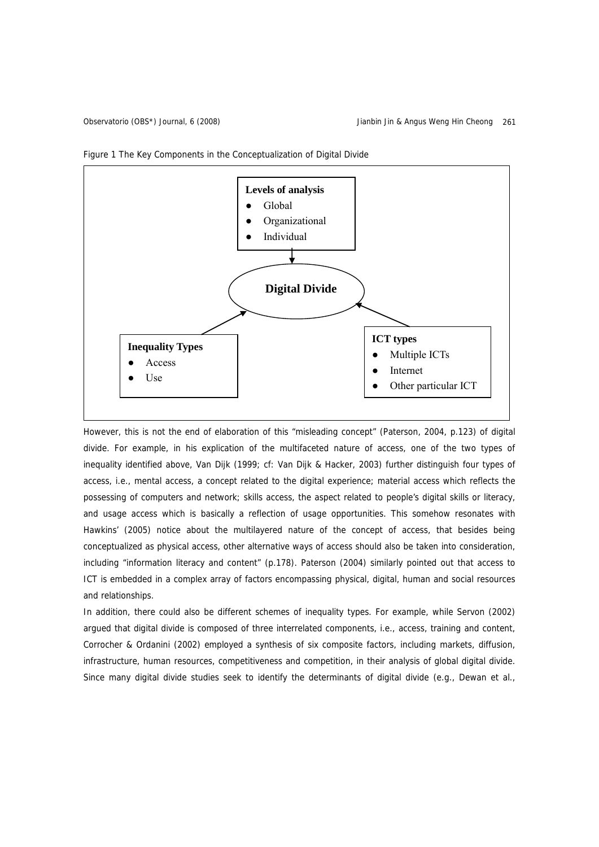



However, this is not the end of elaboration of this "misleading concept" (Paterson, 2004, p.123) of digital divide. For example, in his explication of the multifaceted nature of access, one of the two types of inequality identified above, Van Dijk (1999; cf: Van Dijk & Hacker, 2003) further distinguish four types of access, i.e., mental access, a concept related to the digital experience; material access which reflects the possessing of computers and network; skills access, the aspect related to people's digital skills or literacy, and usage access which is basically a reflection of usage opportunities. This somehow resonates with Hawkins' (2005) notice about the multilayered nature of the concept of access, that besides being conceptualized as physical access, other alternative ways of access should also be taken into consideration, including "information literacy and content" (p.178). Paterson (2004) similarly pointed out that access to ICT is embedded in a complex array of factors encompassing physical, digital, human and social resources and relationships.

In addition, there could also be different schemes of inequality types. For example, while Servon (2002) argued that digital divide is composed of three interrelated components, i.e., access, training and content, Corrocher & Ordanini (2002) employed a synthesis of six composite factors, including markets, diffusion, infrastructure, human resources, competitiveness and competition, in their analysis of global digital divide. Since many digital divide studies seek to identify the determinants of digital divide (e.g., Dewan et al.,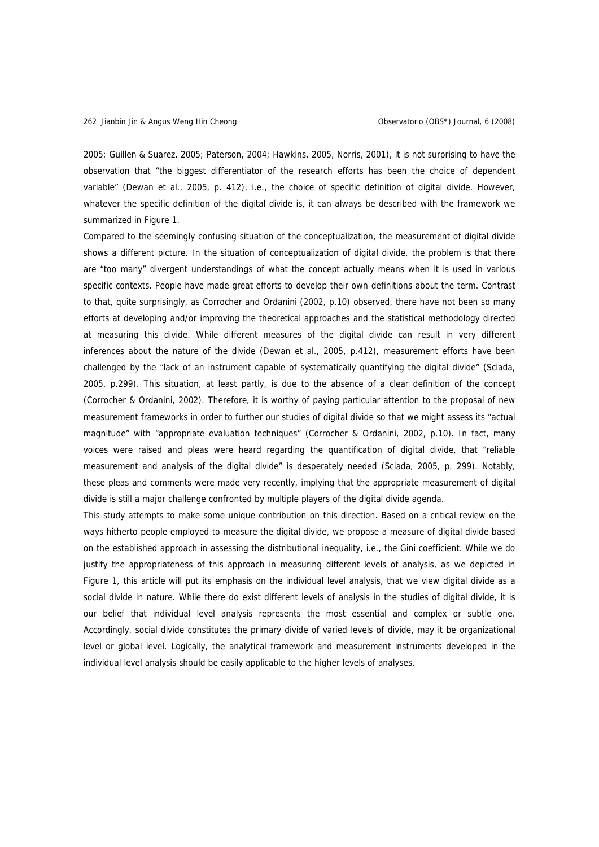2005; Guillen & Suarez, 2005; Paterson, 2004; Hawkins, 2005, Norris, 2001), it is not surprising to have the observation that "the biggest differentiator of the research efforts has been the choice of dependent variable" (Dewan et al., 2005, p. 412), i.e., the choice of specific definition of digital divide. However, whatever the specific definition of the digital divide is, it can always be described with the framework we summarized in Figure 1.

Compared to the seemingly confusing situation of the conceptualization, the measurement of digital divide shows a different picture. In the situation of conceptualization of digital divide, the problem is that there are "too many" divergent understandings of what the concept actually means when it is used in various specific contexts. People have made great efforts to develop their own definitions about the term. Contrast to that, quite surprisingly, as Corrocher and Ordanini (2002, p.10) observed, there have not been so many efforts at developing and/or improving the theoretical approaches and the statistical methodology directed at measuring this divide. While different measures of the digital divide can result in very different inferences about the nature of the divide (Dewan et al., 2005, p.412), measurement efforts have been challenged by the "lack of an instrument capable of systematically quantifying the digital divide" (Sciada, 2005, p.299). This situation, at least partly, is due to the absence of a clear definition of the concept (Corrocher & Ordanini, 2002). Therefore, it is worthy of paying particular attention to the proposal of new measurement frameworks in order to further our studies of digital divide so that we might assess its "actual magnitude" with "appropriate evaluation techniques" (Corrocher & Ordanini, 2002, p.10). In fact, many voices were raised and pleas were heard regarding the quantification of digital divide, that "reliable measurement and analysis of the digital divide" is desperately needed (Sciada, 2005, p. 299). Notably, these pleas and comments were made very recently, implying that the appropriate measurement of digital divide is still a major challenge confronted by multiple players of the digital divide agenda.

This study attempts to make some unique contribution on this direction. Based on a critical review on the ways hitherto people employed to measure the digital divide, we propose a measure of digital divide based on the established approach in assessing the distributional inequality, i.e., the Gini coefficient. While we do justify the appropriateness of this approach in measuring different levels of analysis, as we depicted in Figure 1, this article will put its emphasis on the individual level analysis, that we view digital divide as a social divide in nature. While there do exist different levels of analysis in the studies of digital divide, it is our belief that individual level analysis represents the most essential and complex or subtle one. Accordingly, social divide constitutes the primary divide of varied levels of divide, may it be organizational level or global level. Logically, the analytical framework and measurement instruments developed in the individual level analysis should be easily applicable to the higher levels of analyses.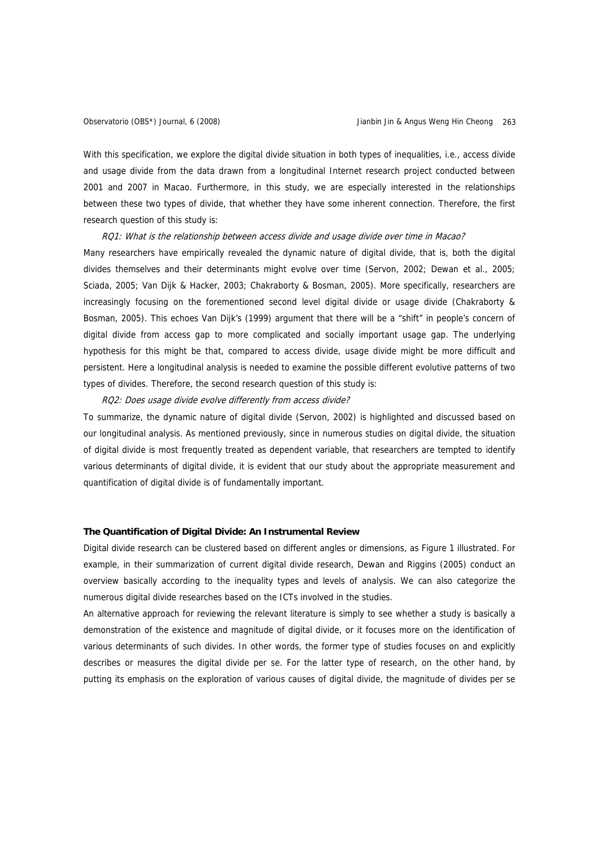With this specification, we explore the digital divide situation in both types of inequalities, i.e., access divide and usage divide from the data drawn from a longitudinal Internet research project conducted between 2001 and 2007 in Macao. Furthermore, in this study, we are especially interested in the relationships between these two types of divide, that whether they have some inherent connection. Therefore, the first research question of this study is:

## RQ1: What is the relationship between access divide and usage divide over time in Macao?

Many researchers have empirically revealed the dynamic nature of digital divide, that is, both the digital divides themselves and their determinants might evolve over time (Servon, 2002; Dewan et al., 2005; Sciada, 2005; Van Dijk & Hacker, 2003; Chakraborty & Bosman, 2005). More specifically, researchers are increasingly focusing on the forementioned second level digital divide or usage divide (Chakraborty & Bosman, 2005). This echoes Van Dijk's (1999) argument that there will be a "shift" in people's concern of digital divide from access gap to more complicated and socially important usage gap. The underlying hypothesis for this might be that, compared to access divide, usage divide might be more difficult and persistent. Here a longitudinal analysis is needed to examine the possible different evolutive patterns of two types of divides. Therefore, the second research question of this study is:

#### RQ2: Does usage divide evolve differently from access divide?

To summarize, the dynamic nature of digital divide (Servon, 2002) is highlighted and discussed based on our longitudinal analysis. As mentioned previously, since in numerous studies on digital divide, the situation of digital divide is most frequently treated as dependent variable, that researchers are tempted to identify various determinants of digital divide, it is evident that our study about the appropriate measurement and quantification of digital divide is of fundamentally important.

#### **The Quantification of Digital Divide: An Instrumental Review**

Digital divide research can be clustered based on different angles or dimensions, as Figure 1 illustrated. For example, in their summarization of current digital divide research, Dewan and Riggins (2005) conduct an overview basically according to the inequality types and levels of analysis. We can also categorize the numerous digital divide researches based on the ICTs involved in the studies.

An alternative approach for reviewing the relevant literature is simply to see whether a study is basically a demonstration of the existence and magnitude of digital divide, or it focuses more on the identification of various determinants of such divides. In other words, the former type of studies focuses on and explicitly describes or measures the digital divide per se. For the latter type of research, on the other hand, by putting its emphasis on the exploration of various causes of digital divide, the magnitude of divides per se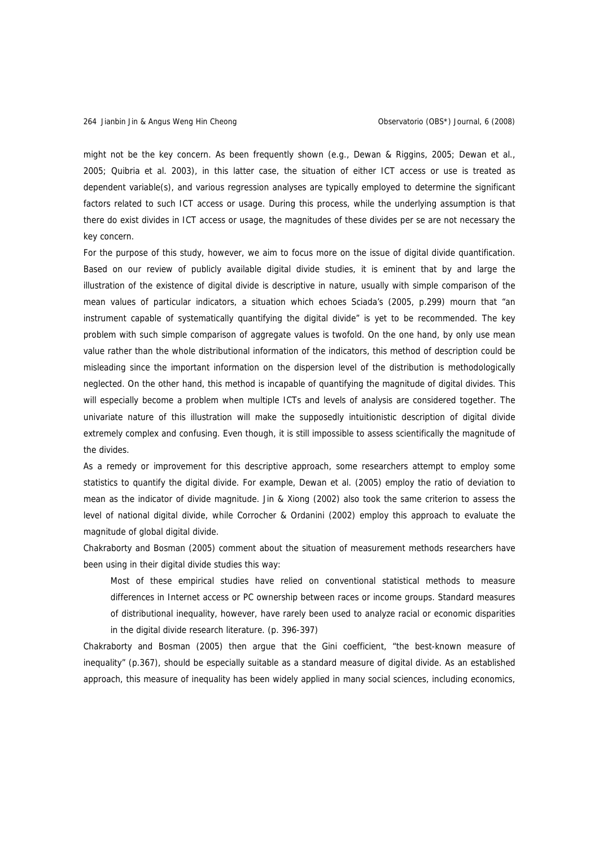might not be the key concern. As been frequently shown (e.g., Dewan & Riggins, 2005; Dewan et al., 2005; Quibria et al. 2003), in this latter case, the situation of either ICT access or use is treated as dependent variable(s), and various regression analyses are typically employed to determine the significant factors related to such ICT access or usage. During this process, while the underlying assumption is that there do exist divides in ICT access or usage, the magnitudes of these divides per se are not necessary the key concern.

For the purpose of this study, however, we aim to focus more on the issue of digital divide quantification. Based on our review of publicly available digital divide studies, it is eminent that by and large the illustration of the existence of digital divide is descriptive in nature, usually with simple comparison of the mean values of particular indicators, a situation which echoes Sciada's (2005, p.299) mourn that "an instrument capable of systematically quantifying the digital divide" is yet to be recommended. The key problem with such simple comparison of aggregate values is twofold. On the one hand, by only use mean value rather than the whole distributional information of the indicators, this method of description could be misleading since the important information on the dispersion level of the distribution is methodologically neglected. On the other hand, this method is incapable of quantifying the magnitude of digital divides. This will especially become a problem when multiple ICTs and levels of analysis are considered together. The univariate nature of this illustration will make the supposedly intuitionistic description of digital divide extremely complex and confusing. Even though, it is still impossible to assess scientifically the magnitude of the divides.

As a remedy or improvement for this descriptive approach, some researchers attempt to employ some statistics to quantify the digital divide. For example, Dewan et al. (2005) employ the ratio of deviation to mean as the indicator of divide magnitude. Jin & Xiong (2002) also took the same criterion to assess the level of national digital divide, while Corrocher & Ordanini (2002) employ this approach to evaluate the magnitude of global digital divide.

Chakraborty and Bosman (2005) comment about the situation of measurement methods researchers have been using in their digital divide studies this way:

Most of these empirical studies have relied on conventional statistical methods to measure differences in Internet access or PC ownership between races or income groups. Standard measures of distributional inequality, however, have rarely been used to analyze racial or economic disparities in the digital divide research literature. (p. 396-397)

Chakraborty and Bosman (2005) then argue that the Gini coefficient, "the best-known measure of inequality" (p.367), should be especially suitable as a standard measure of digital divide. As an established approach, this measure of inequality has been widely applied in many social sciences, including economics,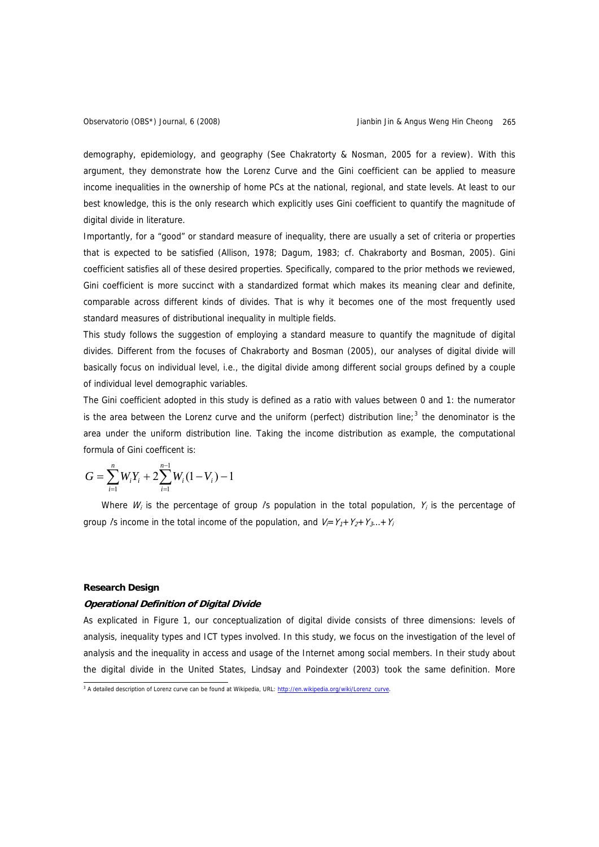demography, epidemiology, and geography (See Chakratorty & Nosman, 2005 for a review). With this argument, they demonstrate how the Lorenz Curve and the Gini coefficient can be applied to measure income inequalities in the ownership of home PCs at the national, regional, and state levels. At least to our best knowledge, this is the only research which explicitly uses Gini coefficient to quantify the magnitude of digital divide in literature.

Importantly, for a "good" or standard measure of inequality, there are usually a set of criteria or properties that is expected to be satisfied (Allison, 1978; Dagum, 1983; cf. Chakraborty and Bosman, 2005). Gini coefficient satisfies all of these desired properties. Specifically, compared to the prior methods we reviewed, Gini coefficient is more succinct with a standardized format which makes its meaning clear and definite, comparable across different kinds of divides. That is why it becomes one of the most frequently used standard measures of distributional inequality in multiple fields.

This study follows the suggestion of employing a standard measure to quantify the magnitude of digital divides. Different from the focuses of Chakraborty and Bosman (2005), our analyses of digital divide will basically focus on individual level, i.e., the digital divide among different social groups defined by a couple of individual level demographic variables.

The Gini coefficient adopted in this study is defined as a ratio with values between 0 and 1: the numerator is the area between the Lorenz curve and the uniform (perfect) distribution line;<sup>[3](#page-6-0)</sup> the denominator is the area under the uniform distribution line. Taking the income distribution as example, the computational formula of Gini coefficent is:

$$
G = \sum_{i=1}^{n} W_i Y_i + 2 \sum_{i=1}^{n-1} W_i (1 - V_i) - 1
$$

Where  $W_i$  is the percentage of group /s population in the total population,  $Y_i$  is the percentage of group /s income in the total income of the population, and  $V_f = Y_1 + Y_2 + Y_3 + Y_i$ 

# **Research Design**

#### **Operational Definition of Digital Divide**

As explicated in Figure 1, our conceptualization of digital divide consists of three dimensions: levels of analysis, inequality types and ICT types involved. In this study, we focus on the investigation of the level of analysis and the inequality in access and usage of the Internet among social members. In their study about the digital divide in the United States, Lindsay and Poindexter (2003) took the same definition. More

<span id="page-6-0"></span><sup>&</sup>lt;sup>3</sup> A detailed description of Lorenz curve can be found at Wikipedia, URL: [http://en.wikipedia.org/wiki/Lorenz\\_curve.](http://en.wikipedia.org/wiki/Lorenz_curve)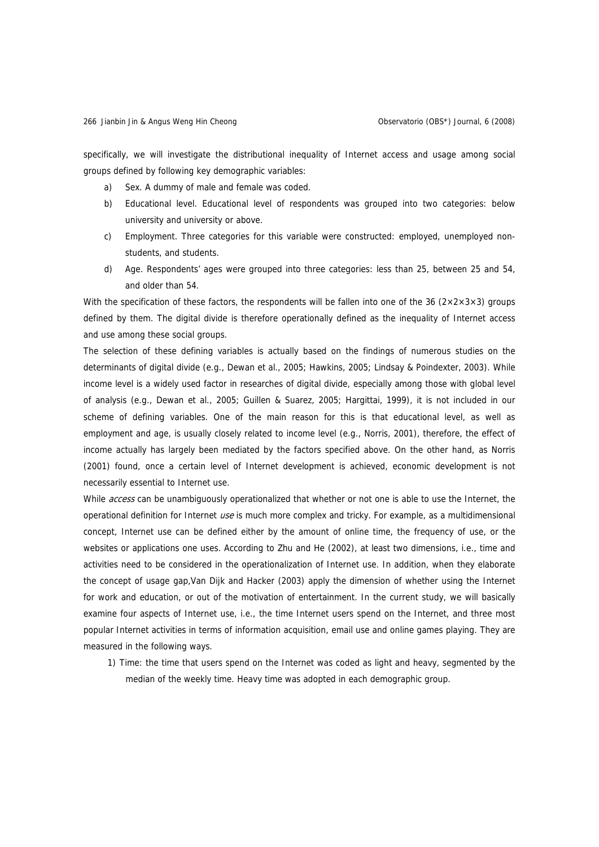specifically, we will investigate the distributional inequality of Internet access and usage among social groups defined by following key demographic variables:

- a) Sex. A dummy of male and female was coded.
- b) Educational level. Educational level of respondents was grouped into two categories: below university and university or above.
- c) Employment. Three categories for this variable were constructed: employed, unemployed nonstudents, and students.
- d) Age. Respondents' ages were grouped into three categories: less than 25, between 25 and 54, and older than 54.

With the specification of these factors, the respondents will be fallen into one of the 36 ( $2 \times 2 \times 3 \times 3$ ) groups defined by them. The digital divide is therefore operationally defined as the inequality of Internet access and use among these social groups.

The selection of these defining variables is actually based on the findings of numerous studies on the determinants of digital divide (e.g., Dewan et al., 2005; Hawkins, 2005; Lindsay & Poindexter, 2003). While income level is a widely used factor in researches of digital divide, especially among those with global level of analysis (e.g., Dewan et al., 2005; Guillen & Suarez, 2005; Hargittai, 1999), it is not included in our scheme of defining variables. One of the main reason for this is that educational level, as well as employment and age, is usually closely related to income level (e.g., Norris, 2001), therefore, the effect of income actually has largely been mediated by the factors specified above. On the other hand, as Norris (2001) found, once a certain level of Internet development is achieved, economic development is not necessarily essential to Internet use.

While access can be unambiguously operationalized that whether or not one is able to use the Internet, the operational definition for Internet use is much more complex and tricky. For example, as a multidimensional concept, Internet use can be defined either by the amount of online time, the frequency of use, or the websites or applications one uses. According to Zhu and He (2002), at least two dimensions, i.e., time and activities need to be considered in the operationalization of Internet use. In addition, when they elaborate the concept of usage gap,Van Dijk and Hacker (2003) apply the dimension of whether using the Internet for work and education, or out of the motivation of entertainment. In the current study, we will basically examine four aspects of Internet use, i.e., the time Internet users spend on the Internet, and three most popular Internet activities in terms of information acquisition, email use and online games playing. They are measured in the following ways.

1) Time: the time that users spend on the Internet was coded as light and heavy, segmented by the median of the weekly time. Heavy time was adopted in each demographic group.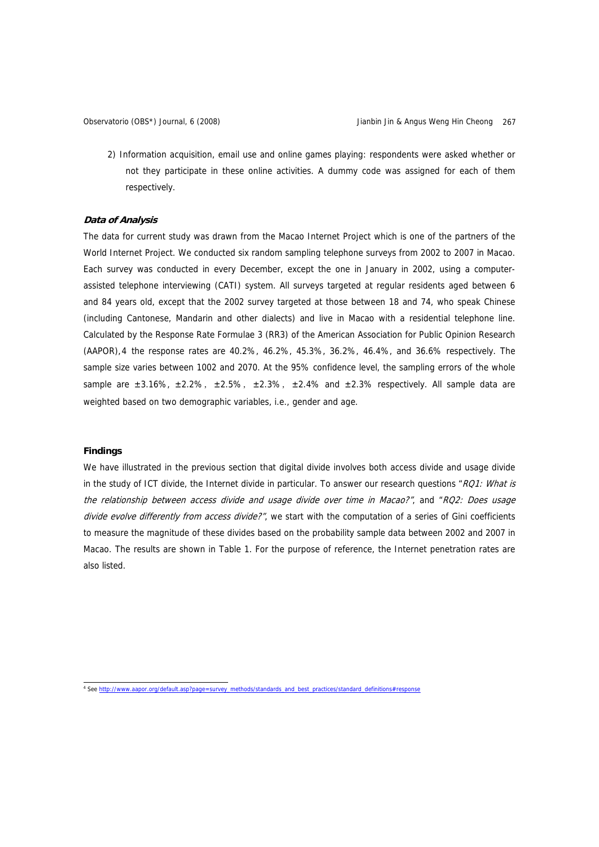2) Information acquisition, email use and online games playing: respondents were asked whether or not they participate in these online activities. A dummy code was assigned for each of them respectively.

#### **Data of Analysis**

The data for current study was drawn from the Macao Internet Project which is one of the partners of the World Internet Project. We conducted six random sampling telephone surveys from 2002 to 2007 in Macao. Each survey was conducted in every December, except the one in January in 2002, using a computerassisted telephone interviewing (CATI) system. All surveys targeted at regular residents aged between 6 and 84 years old, except that the 2002 survey targeted at those between 18 and 74, who speak Chinese (including Cantonese, Mandarin and other dialects) and live in Macao with a residential telephone line. Calculated by the Response Rate Formulae 3 (RR3) of the American Association for Public Opinion Research (AAPOR),[4](#page-8-0) the response rates are 40.2%, 46.2%, 45.3%, 36.2%, 46.4%, and 36.6% respectively. The sample size varies between 1002 and 2070. At the 95% confidence level, the sampling errors of the whole sample are  $\pm 3.16\%$ ,  $\pm 2.2\%$ ,  $\pm 2.5\%$ ,  $\pm 2.3\%$ ,  $\pm 2.4\%$  and  $\pm 2.3\%$  respectively. All sample data are weighted based on two demographic variables, i.e., gender and age.

#### **Findings**

We have illustrated in the previous section that digital divide involves both access divide and usage divide in the study of ICT divide, the Internet divide in particular. To answer our research questions "RQ1: What is the relationship between access divide and usage divide over time in Macao?", and "RQ2: Does usage divide evolve differently from access divide?", we start with the computation of a series of Gini coefficients to measure the magnitude of these divides based on the probability sample data between 2002 and 2007 in Macao. The results are shown in Table 1. For the purpose of reference, the Internet penetration rates are also listed.

<span id="page-8-0"></span> 4 See [http://www.aapor.org/default.asp?page=survey\\_methods/standards\\_and\\_best\\_practices/standard\\_definitions#response](http://www.aapor.org/default.asp?page=survey_methods/standards_and_best_practices/standard_definitions#response)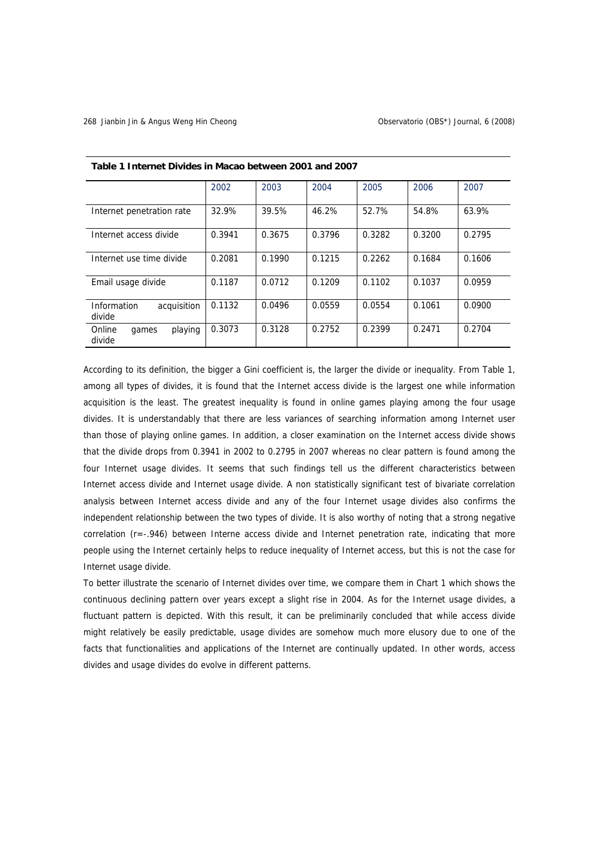|                                      | 2002   | 2003   | 2004   | 2005   | 2006   | 2007   |
|--------------------------------------|--------|--------|--------|--------|--------|--------|
| Internet penetration rate            | 32.9%  | 39.5%  | 46.2%  | 52.7%  | 54.8%  | 63.9%  |
| Internet access divide               | 0.3941 | 0.3675 | 0.3796 | 0.3282 | 0.3200 | 0.2795 |
| Internet use time divide             | 0.2081 | 0.1990 | 0.1215 | 0.2262 | 0.1684 | 0.1606 |
| Email usage divide                   | 0.1187 | 0.0712 | 0.1209 | 0.1102 | 0.1037 | 0.0959 |
| Information<br>acquisition<br>divide | 0.1132 | 0.0496 | 0.0559 | 0.0554 | 0.1061 | 0.0900 |
| Online<br>playing<br>games<br>divide | 0.3073 | 0.3128 | 0.2752 | 0.2399 | 0.2471 | 0.2704 |

#### **Table 1 Internet Divides in Macao between 2001 and 2007**

According to its definition, the bigger a Gini coefficient is, the larger the divide or inequality. From Table 1, among all types of divides, it is found that the Internet access divide is the largest one while information acquisition is the least. The greatest inequality is found in online games playing among the four usage divides. It is understandably that there are less variances of searching information among Internet user than those of playing online games. In addition, a closer examination on the Internet access divide shows that the divide drops from 0.3941 in 2002 to 0.2795 in 2007 whereas no clear pattern is found among the four Internet usage divides. It seems that such findings tell us the different characteristics between Internet access divide and Internet usage divide. A non statistically significant test of bivariate correlation analysis between Internet access divide and any of the four Internet usage divides also confirms the independent relationship between the two types of divide. It is also worthy of noting that a strong negative correlation (r=-.946) between Interne access divide and Internet penetration rate, indicating that more people using the Internet certainly helps to reduce inequality of Internet access, but this is not the case for Internet usage divide.

To better illustrate the scenario of Internet divides over time, we compare them in Chart 1 which shows the continuous declining pattern over years except a slight rise in 2004. As for the Internet usage divides, a fluctuant pattern is depicted. With this result, it can be preliminarily concluded that while access divide might relatively be easily predictable, usage divides are somehow much more elusory due to one of the facts that functionalities and applications of the Internet are continually updated. In other words, access divides and usage divides do evolve in different patterns.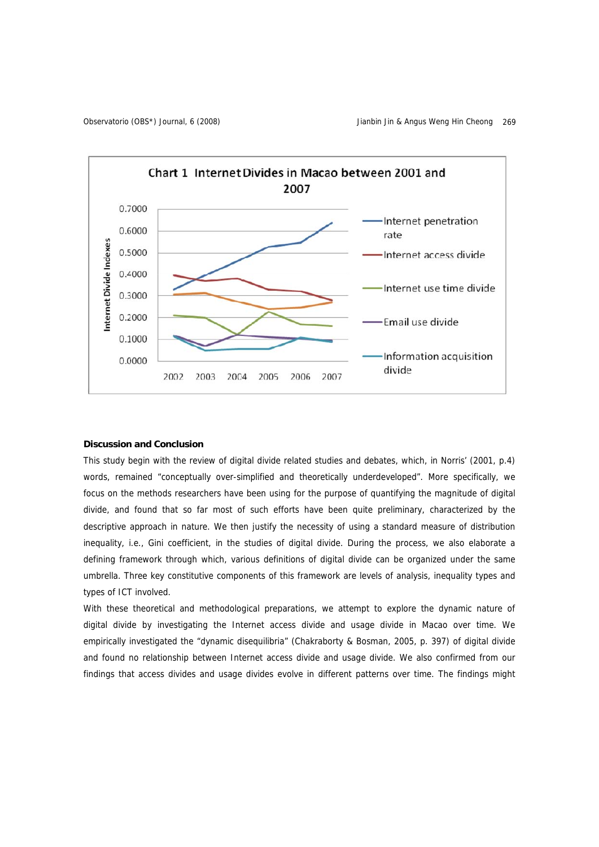

# **Discussion and Conclusion**

This study begin with the review of digital divide related studies and debates, which, in Norris' (2001, p.4) words, remained "conceptually over-simplified and theoretically underdeveloped". More specifically, we focus on the methods researchers have been using for the purpose of quantifying the magnitude of digital divide, and found that so far most of such efforts have been quite preliminary, characterized by the descriptive approach in nature. We then justify the necessity of using a standard measure of distribution inequality, i.e., Gini coefficient, in the studies of digital divide. During the process, we also elaborate a defining framework through which, various definitions of digital divide can be organized under the same umbrella. Three key constitutive components of this framework are levels of analysis, inequality types and types of ICT involved.

With these theoretical and methodological preparations, we attempt to explore the dynamic nature of digital divide by investigating the Internet access divide and usage divide in Macao over time. We empirically investigated the "dynamic disequilibria" (Chakraborty & Bosman, 2005, p. 397) of digital divide and found no relationship between Internet access divide and usage divide. We also confirmed from our findings that access divides and usage divides evolve in different patterns over time. The findings might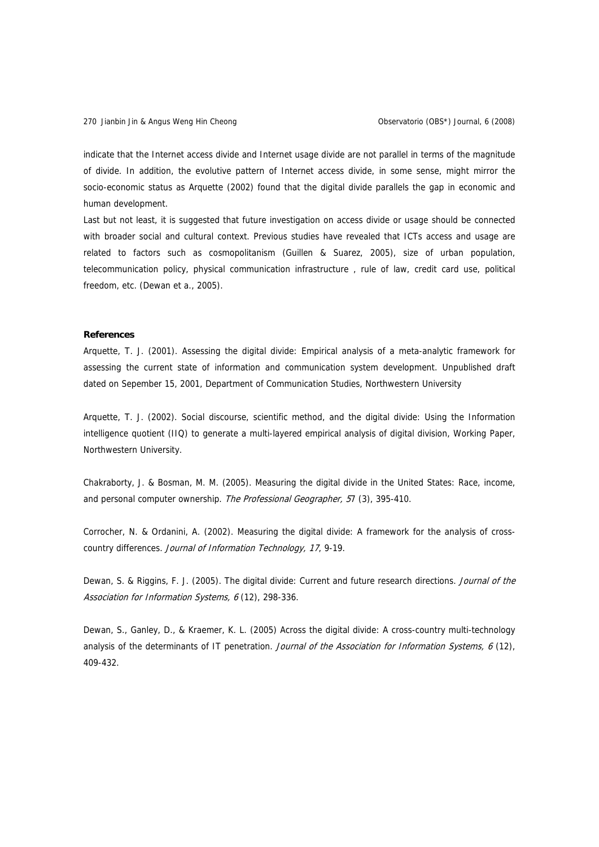indicate that the Internet access divide and Internet usage divide are not parallel in terms of the magnitude of divide. In addition, the evolutive pattern of Internet access divide, in some sense, might mirror the socio-economic status as Arquette (2002) found that the digital divide parallels the gap in economic and human development.

Last but not least, it is suggested that future investigation on access divide or usage should be connected with broader social and cultural context. Previous studies have revealed that ICTs access and usage are related to factors such as cosmopolitanism (Guillen & Suarez, 2005), size of urban population, telecommunication policy, physical communication infrastructure , rule of law, credit card use, political freedom, etc. (Dewan et a., 2005).

# **References**

Arquette, T. J. (2001). Assessing the digital divide: Empirical analysis of a meta-analytic framework for assessing the current state of information and communication system development. Unpublished draft dated on Sepember 15, 2001, Department of Communication Studies, Northwestern University

Arquette, T. J. (2002). Social discourse, scientific method, and the digital divide: Using the Information intelligence quotient (IIQ) to generate a multi-layered empirical analysis of digital division, Working Paper, Northwestern University.

Chakraborty, J. & Bosman, M. M. (2005). Measuring the digital divide in the United States: Race, income, and personal computer ownership. The Professional Geographer, 57 (3), 395-410.

Corrocher, N. & Ordanini, A. (2002). Measuring the digital divide: A framework for the analysis of crosscountry differences. Journal of Information Technology, 17, 9-19.

Dewan, S. & Riggins, F. J. (2005). The digital divide: Current and future research directions. Journal of the Association for Information Systems, 6 (12), 298-336.

Dewan, S., Ganley, D., & Kraemer, K. L. (2005) Across the digital divide: A cross-country multi-technology analysis of the determinants of IT penetration. Journal of the Association for Information Systems, 6 (12), 409-432.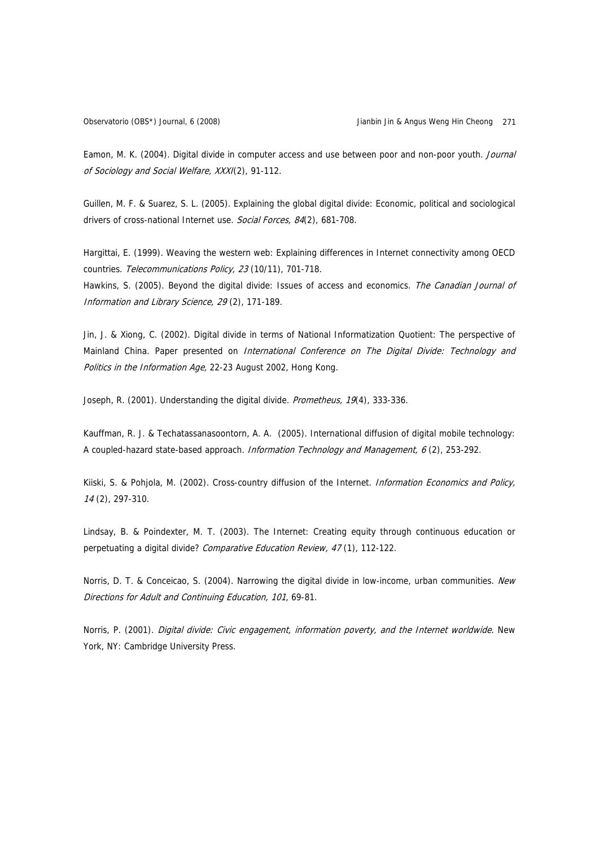Eamon, M. K. (2004). Digital divide in computer access and use between poor and non-poor youth. Journal of Sociology and Social Welfare, XXXI(2), 91-112.

Guillen, M. F. & Suarez, S. L. (2005). Explaining the global digital divide: Economic, political and sociological drivers of cross-national Internet use. Social Forces, 84(2), 681-708.

Hargittai, E. (1999). Weaving the western web: Explaining differences in Internet connectivity among OECD countries. Telecommunications Policy, 23 (10/11), 701-718.

Hawkins, S. (2005). Beyond the digital divide: Issues of access and economics. The Canadian Journal of Information and Library Science, 29 (2), 171-189.

Jin, J. & Xiong, C. (2002). Digital divide in terms of National Informatization Quotient: The perspective of Mainland China. Paper presented on International Conference on The Digital Divide: Technology and Politics in the Information Age, 22-23 August 2002, Hong Kong.

Joseph, R. (2001). Understanding the digital divide. Prometheus, 19(4), 333-336.

Kauffman, R. J. & Techatassanasoontorn, A. A. (2005). International diffusion of digital mobile technology: A coupled-hazard state-based approach. Information Technology and Management, 6 (2), 253-292.

Kiiski, S. & Pohjola, M. (2002). Cross-country diffusion of the Internet. Information Economics and Policy, 14 (2), 297-310.

Lindsay, B. & Poindexter, M. T. (2003). The Internet: Creating equity through continuous education or perpetuating a digital divide? Comparative Education Review, 47(1), 112-122.

Norris, D. T. & Conceicao, S. (2004). Narrowing the digital divide in low-income, urban communities. New Directions for Adult and Continuing Education, 101, 69-81.

Norris, P. (2001). Digital divide: Civic engagement, information poverty, and the Internet worldwide. New York, NY: Cambridge University Press.